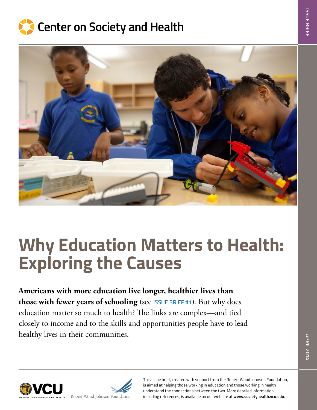



# **Why Education Matters to Health: Exploring the Causes**

**Americans with more education live longer, healthier lives than those with fewer years of schooling** (see [ISSUE BRIEF #1](http://societyhealth.vcu.edu/DownFile.ashx?fileid=1739)). But why does education matter so much to health? The links are complex—and tied closely to income and to the skills and opportunities people have to lead healthy lives in their communities.



This issue brief, created with support from the Robert Wood Johnson Foundation, is aimed at helping those working in education and those working in health understand the connections between the two. More detailed information, including references, is available on our website at **[www.societyhealth.vcu.edu](http://www.societyhealth.vcu.edu/)**.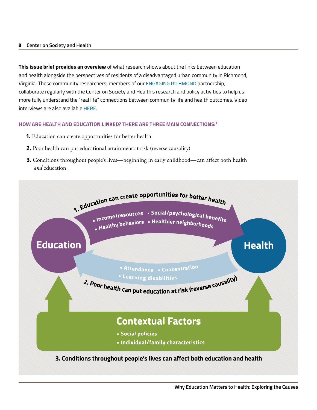**This issue brief provides an overview** of what research shows about the links between education and health alongside the perspectives of residents of a disadvantaged urban community in Richmond, Virginia. These community researchers, members of our [ENGAGING RICHMOND](go.vcu.edu/engagingrichmond) partnership, collaborate regularly with the Center on Society and Health's research and policy activities to help us more fully understand the "real life" connections between community life and health outcomes. Video interviews are also available [HERE.](http://youtu.be/V3rsdBBFAN8)

## **HOW ARE HEALTH AND EDUCATION LINKED? THERE ARE THREE MAIN CONNECTIONS:1**

- **1.** Education can create opportunities for better health
- **2.** Poor health can put educational attainment at risk (reverse causality)
- **3.** Conditions throughout people's lives—beginning in early childhood—can affect both health *and* education

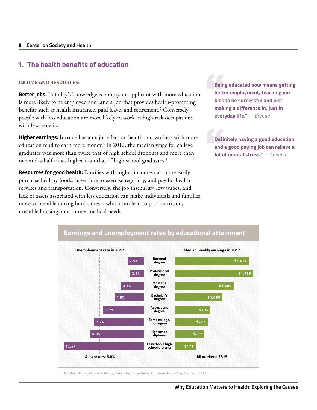## **1. The health benefits of education**

## **INCOME AND RESOURCES:**

**Better jobs:** In today's knowledge economy, an applicant with more education is more likely to be employed and land a job that provides health-promoting benefits such as health insurance, paid leave, and retirement.<sup>2</sup> Conversely, people with less education are more likely to work in high-risk occupations with few benefits.

**Higher earnings:** Income has a major effect on health and workers with more education tend to earn more money.<sup>3</sup> In 2012, the median wage for college graduates was more than twice that of high school dropouts and more than one-and-a-half times higher than that of high school graduates.4

**Resources for good health:** Families with higher incomes can more easily purchase healthy foods, have time to exercise regularly, and pay for health services and transportation. Conversely, the job insecurity, low wages, and lack of assets associated with less education can make individuals and families more vulnerable during hard times—which can lead to poor nutrition, unstable housing, and unmet medical needs.

**Being educated now means getting better employment, teaching our kids to be successful and just making a difference in, just in everyday life."** *– Brenda* 

**Definitely having a good education and a good paying job can relieve a lot of mental stress."** *– Chimere* 



Data from: Bureau of Labor Statistics, Current Population Survey. http://www.bls.gov/emp/ep\_chart\_001.htm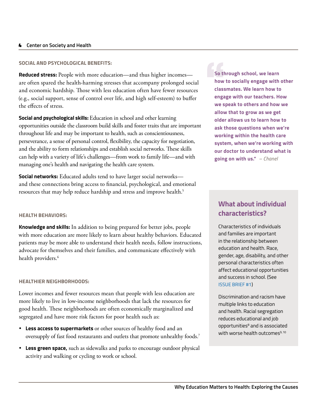## **SOCIAL AND PSYCHOLOGICAL BENEFITS:**

**Reduced stress:** People with more education—and thus higher incomes are often spared the health-harming stresses that accompany prolonged social and economic hardship. Those with less education often have fewer resources (e.g., social support, sense of control over life, and high self-esteem) to buffer the effects of stress.

**Social and psychological skills:** Education in school and other learning opportunities outside the classroom build skills and foster traits that are important throughout life and may be important to health, such as conscientiousness, perseverance, a sense of personal control, flexibility, the capacity for negotiation, and the ability to form relationships and establish social networks. These skills can help with a variety of life's challenges—from work to family life—and with managing one's health and navigating the health care system.

**Social networks:** Educated adults tend to have larger social networks and these connections bring access to financial, psychological, and emotional resources that may help reduce hardship and stress and improve health.<sup>5</sup>

**So through school, we learn how to socially engage with other classmates. We learn how to engage with our teachers. How we speak to others and how we allow that to grow as we get older allows us to learn how to ask those questions when we're working within the health care system, when we're working with our doctor to understand what is going on with us."** *– Chanel*

## **HEALTH BEHAVIORS:**

**Knowledge and skills:** In addition to being prepared for better jobs, people with more education are more likely to learn about healthy behaviors. Educated patients may be more able to understand their health needs, follow instructions, advocate for themselves and their families, and communicate effectively with health providers.<sup>6</sup>

#### **HEALTHIER NEIGHBORHOODS:**

Lower incomes and fewer resources mean that people with less education are more likely to live in low-income neighborhoods that lack the resources for good health. These neighborhoods are often economically marginalized and segregated and have more risk factors for poor health such as:

- **Less access to supermarkets** or other sources of healthy food and an oversupply of fast food restaurants and outlets that promote unhealthy foods.7
- **Less green space,** such as sidewalks and parks to encourage outdoor physical activity and walking or cycling to work or school.

# **What about individual characteristics?**

Characteristics of individuals and families are important in the relationship between education and health. Race, gender, age, disability, and other personal characteristics often affect educational opportunities and success in school. (See [ISSUE BRIEF #1](http://societyhealth.vcu.edu/DownFile.ashx?fileid=1739))

Discrimination and racism have multiple links to education and health. Racial segregation reduces educational and job opportunities<sup>8</sup> and is associated with worse health outcomes<sup>9,10</sup>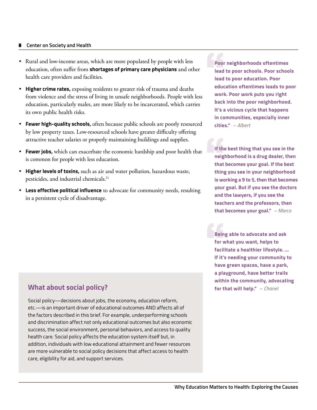- Rural and low-income areas, which are more populated by people with less education, often suffer from **shortages of primary care physicians** and other health care providers and facilities.
- **Higher crime rates,** exposing residents to greater risk of trauma and deaths from violence and the stress of living in unsafe neighborhoods. People with less education, particularly males, are more likely to be incarcerated, which carries its own public health risks.
- **Fewer high-quality schools,** often because public schools are poorly resourced by low property taxes. Low-resourced schools have greater difficulty offering attractive teacher salaries or properly maintaining buildings and supplies.
- **Fewer jobs,** which can exacerbate the economic hardship and poor health that is common for people with less education.
- **Higher levels of toxins,** such as air and water pollution, hazardous waste, pesticides, and industrial chemicals.<sup>11</sup>
- **Less effective political influence** to advocate for community needs, resulting in a persistent cycle of disadvantage.

**Poor neighborhoods oftentimes lead to poor schools. Poor schools lead to poor education. Poor education oftentimes leads to poor work. Poor work puts you right back into the poor neighborhood. It's a vicious cycle that happens in communities, especially inner cities."** *– Albert* 

**If the best thing that you see in the neighborhood is a drug dealer, then that becomes your goal. If the best thing you see in your neighborhood is working a 9 to 5, then that becomes your goal. But if you see the doctors and the lawyers, if you see the teachers and the professors, then that becomes your goal."** *– Marco*

**Being able to advocate and ask for what you want, helps to facilitate a healthier lifestyle. … If it's needing your community to have green spaces, have a park, a playground, have better trails within the community, advocating for that will help."** *– Chanel*

# **What about social policy?**

Social policy—decisions about jobs, the economy, education reform, etc.—is an important driver of educational outcomes AND affects all of the factors described in this brief. For example, underperforming schools and discrimination affect not only educational outcomes but also economic success, the social environment, personal behaviors, and access to quality health care. Social policy affects the education system itself but, in addition, individuals with low educational attainment and fewer resources are more vulnerable to social policy decisions that affect access to health care, eligibility for aid, and support services.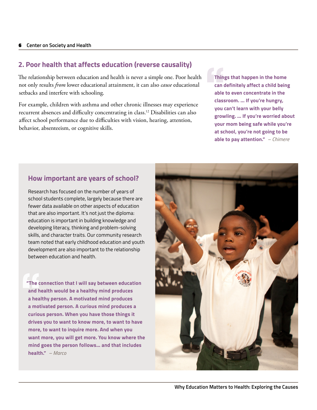# **2. Poor health that affects education (reverse causality)**

The relationship between education and health is never a simple one. Poor health not only results *from* lower educational attainment, it can also *cause* educational setbacks and interfere with schooling.

For example, children with asthma and other chronic illnesses may experience recurrent absences and difficulty concentrating in class.12 Disabilities can also affect school performance due to difficulties with vision, hearing, attention, behavior, absenteeism, or cognitive skills.

**Things that happen in the home can definitely affect a child being able to even concentrate in the classroom. ... If you're hungry, you can't learn with your belly growling. … If you're worried about your mom being safe while you're at school, you're not going to be able to pay attention."** *– Chimere*

## **How important are years of school?**

Research has focused on the number of years of school students complete, largely because there are fewer data available on other aspects of education that are also important. It's not just the diploma: education is important in building knowledge and developing literacy, thinking and problem-solving skills, and character traits. Our community research team noted that early childhood education and youth development are also important to the relationship between education and health.

**"The connection that I will say between education and health would be a healthy mind produces a healthy person. A motivated mind produces a motivated person. A curious mind produces a curious person. When you have those things it drives you to want to know more, to want to have more, to want to inquire more. And when you want more, you will get more. You know where the mind goes the person follows… and that includes health."** *– Marco*

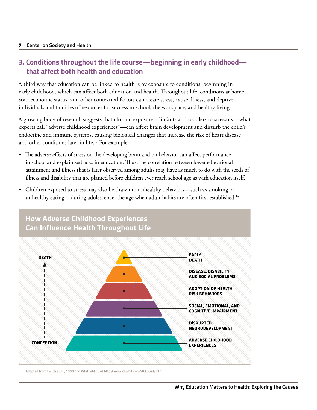# **3. Conditions throughout the life course—beginning in early childhood that affect both health and education**

A third way that education can be linked to health is by exposure to conditions, beginning in early childhood, which can affect both education and health. Throughout life, conditions at home, socioeconomic status, and other contextual factors can create stress, cause illness, and deprive individuals and families of resources for success in school, the workplace, and healthy living.

A growing body of research suggests that chronic exposure of infants and toddlers to stressors—what experts call "adverse childhood experiences"—can affect brain development and disturb the child's endocrine and immune systems, causing biological changes that increase the risk of heart disease and other conditions later in life.<sup>13</sup> For example:

- The adverse effects of stress on the developing brain and on behavior can affect performance in school and explain setbacks in education. Thus, the correlation between lower educational attainment and illness that is later observed among adults may have as much to do with the seeds of illness and disability that are planted before children ever reach school age as with education itself.
- Children exposed to stress may also be drawn to unhealthy behaviors—such as smoking or unhealthy eating—during adolescence, the age when adult habits are often first established.<sup>14</sup>



Adapted from Felitti et al., 1998 and Whitfield CL at http://www.cbwhit.com/ACEstudy.htm.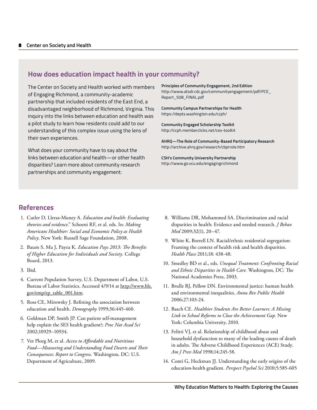## **How does education impact health in your community?**

The Center on Society and Health worked with members of Engaging Richmond, a community-academic partnership that included residents of the East End, a disadvantaged neighborhood of Richmond, Virginia. This inquiry into the links between education and health was a pilot study to learn how residents could add to our understanding of this complex issue using the lens of their own experiences.

What does your community have to say about the links between education and health—or other health disparities? Learn more about community research partnerships and community engagement:

**Principles of Community Engagement, 2nd Edition**  http://www.atsdr.cdc.gov/communityengagement/pdf/PCE\_ Report\_508\_FINAL.pdf

**Community Campus Partnerships for Health**  <https://depts.washington.edu/ccph/>

**Community Engaged Scholarship Toolkit**  http://ccph.memberclicks.net/ces-toolkit

**AHRQ—The Role of Community-Based Participatory Research**  <http://archive.ahrq.gov/research/cbprrole.htm>

**CSH's Community University Partnership**  http://www.go.vcu.edu/engagingrichmond

## **References**

- 1. Cutler D, Lleras-Muney A. *Education and health: Evaluating theories and evidence*." Schoeni RF, et al. eds. In: *Making Americans Healthier: Social and Economic Policy as Health Policy*. New York: Russell Sage Foundation, 2008.
- 2. Baum S, Ma J, Payea K. *Education Pays 2013: The Benefits of Higher Education for Individuals and Society.* College Board, 2013.
- 3. Ibid.
- 4. Current Population Survey, U.S. Department of Labor, U.S. Bureau of Labor Statistics. Accessed 4/9/14 at [http://www.bls.](http://www.bls.gov/emp/ep_table_001.htm) [gov/emp/ep\\_table\\_001.htm](http://www.bls.gov/emp/ep_table_001.htm).
- 5. Ross CE, Mirowsky J. Refining the association between education and health. *Demography* 1999;36:445-460.
- 6. Goldman DP, Smith JP. Can patient self-management help explain the SES health gradient?; *Proc Nat Acad Sci*  2002;10929–10934.
- 7. Ver Ploeg M, et al. *Access to Affordable and Nutritious Food—Measuring and Understanding Food Deserts and Their Consequences: Report to Congress.* Washington, DC: U.S. Department of Agriculture, 2009.
- 8. Williams DR, Mohammed SA. Discrimination and racial disparities in health: Evidence and needed research. *J Behav Med* 2009;32(1), 20–47.
- 9. White K, Borrell LN. Racial/ethnic residential segregation: Framing the context of health risk and health disparities. *Health Place* 2011;18: 438-48.
- 10. Smedley BD et al., eds. *Unequal Treatment: Confronting Racial and Ethnic Disparities in Health Care.* Washington, DC: The National Academies Press, 2003.
- 11. Brulle RJ, Pellow DN. Environmental justice: human health and environmental inequalities. *Annu Rev Public Health*  2006;27:103-24.
- 12. Basch CE. *Healthier Students Are Better Learners: A Missing Link in School Reforms to Close the Achievement Gap.* New York: Columbia University, 2010.
- 13. Felitti VJ, et al. Relationship of childhood abuse and household dysfunction to many of the leading causes of death in adults. The Adverse Childhood Experiences (ACE) Study. *Am J Prev Med* 1998;14:245-58.
- 14. Conti G, Heckman JJ. Understanding the early origins of the education-health gradient. *Perspect Psychol Sci* 2010;5:585-605